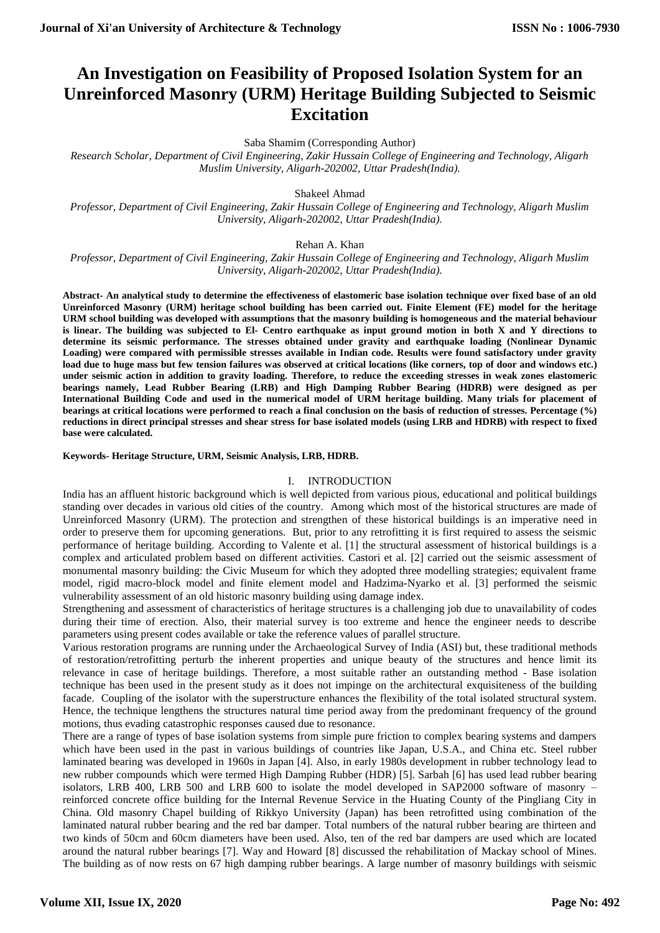# **An Investigation on Feasibility of Proposed Isolation System for an Unreinforced Masonry (URM) Heritage Building Subjected to Seismic Excitation**

Saba Shamim (Corresponding Author)

*Research Scholar, Department of Civil Engineering, Zakir Hussain College of Engineering and Technology, Aligarh Muslim University, Aligarh-202002, Uttar Pradesh(India).*

Shakeel Ahmad

*Professor, Department of Civil Engineering, Zakir Hussain College of Engineering and Technology, Aligarh Muslim University, Aligarh-202002, Uttar Pradesh(India).*

Rehan A. Khan

*Professor, Department of Civil Engineering, Zakir Hussain College of Engineering and Technology, Aligarh Muslim University, Aligarh-202002, Uttar Pradesh(India).*

**Abstract- An analytical study to determine the effectiveness of elastomeric base isolation technique over fixed base of an old Unreinforced Masonry (URM) heritage school building has been carried out. Finite Element (FE) model for the heritage URM school building was developed with assumptions that the masonry building is homogeneous and the material behaviour is linear. The building was subjected to El- Centro earthquake as input ground motion in both X and Y directions to determine its seismic performance. The stresses obtained under gravity and earthquake loading (Nonlinear Dynamic Loading) were compared with permissible stresses available in Indian code. Results were found satisfactory under gravity load due to huge mass but few tension failures was observed at critical locations (like corners, top of door and windows etc.) under seismic action in addition to gravity loading. Therefore, to reduce the exceeding stresses in weak zones elastomeric bearings namely, Lead Rubber Bearing (LRB) and High Damping Rubber Bearing (HDRB) were designed as per International Building Code and used in the numerical model of URM heritage building. Many trials for placement of bearings at critical locations were performed to reach a final conclusion on the basis of reduction of stresses. Percentage (%) reductions in direct principal stresses and shear stress for base isolated models (using LRB and HDRB) with respect to fixed base were calculated.**

## **Keywords- Heritage Structure, URM, Seismic Analysis, LRB, HDRB.**

## I. INTRODUCTION

India has an affluent historic background which is well depicted from various pious, educational and political buildings standing over decades in various old cities of the country.Among which most of the historical structures are made of Unreinforced Masonry (URM). The protection and strengthen of these historical buildings is an imperative need in order to preserve them for upcoming generations. But, prior to any retrofitting it is first required to assess the seismic performance of heritage building. According to Valente et al. [1] the structural assessment of historical buildings is a complex and articulated problem based on different activities. Castori et al. [2] carried out the seismic assessment of monumental masonry building: the Civic Museum for which they adopted three modelling strategies; equivalent frame model, rigid macro-block model and finite element model and [Hadzima-Nyarko](http://www.sciencedirect.com/science/article/pii/S1296207416302643?via%3Dihub#!) et al. [3] performed the seismic vulnerability assessment of an old historic masonry building using damage index.

Strengthening and assessment of characteristics of heritage structures is a challenging job due to unavailability of codes during their time of erection. Also, their material survey is too extreme and hence the engineer needs to describe parameters using present codes available or take the reference values of parallel structure.

Various restoration programs are running under the Archaeological Survey of India (ASI) but, these traditional methods of restoration/retrofitting perturb the inherent properties and unique beauty of the structures and hence limit its relevance in case of heritage buildings. Therefore, a most suitable rather an outstanding method - Base isolation technique has been used in the present study as it does not impinge on the architectural exquisiteness of the building facade. Coupling of the isolator with the superstructure enhances the flexibility of the total isolated structural system. Hence, the technique lengthens the structures natural time period away from the predominant frequency of the ground motions, thus evading catastrophic responses caused due to resonance.

There are a range of types of base isolation systems from simple pure friction to complex bearing systems and dampers which have been used in the past in various buildings of countries like Japan, U.S.A., and China etc. Steel rubber laminated bearing was developed in 1960s in Japan [4]. Also, in early 1980s development in rubber technology lead to new rubber compounds which were termed High Damping Rubber (HDR) [5]. Sarbah [6] has used lead rubber bearing isolators, LRB 400, LRB 500 and LRB 600 to isolate the model developed in SAP2000 software of masonry – reinforced concrete office building for the Internal Revenue Service in the Huating County of the Pingliang City in China. Old masonry Chapel building of Rikkyo University (Japan) has been retrofitted using combination of the laminated natural rubber bearing and the red bar damper. Total numbers of the natural rubber bearing are thirteen and two kinds of 50cm and 60cm diameters have been used. Also, ten of the red bar dampers are used which are located around the natural rubber bearings [7]. Way and Howard [8] discussed the rehabilitation of Mackay school of Mines. The building as of now rests on 67 high damping rubber bearings. A large number of masonry buildings with seismic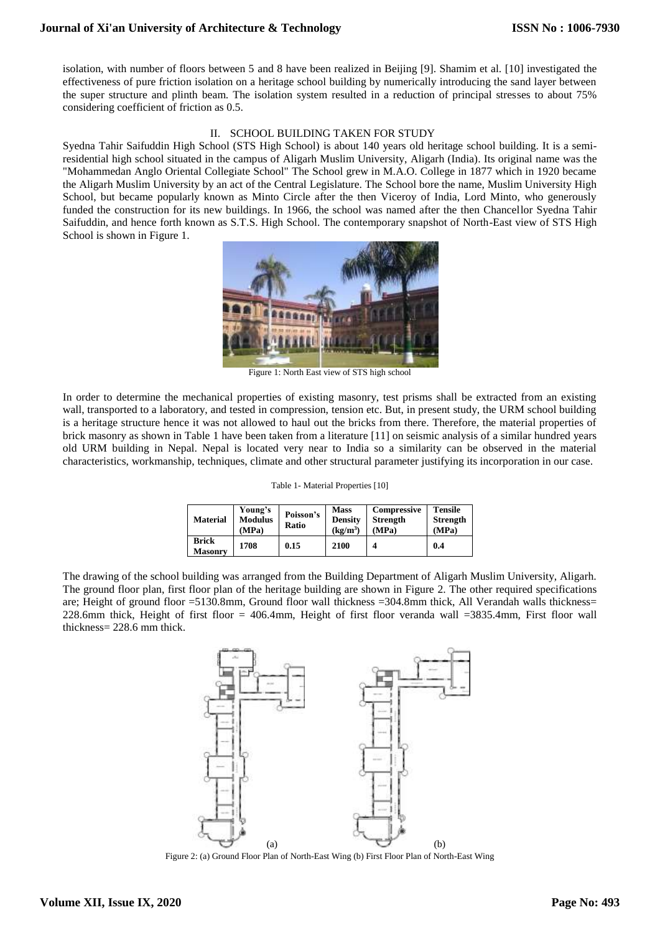# **Journal of Xi'an University of Architecture & Technology**

isolation, with number of floors between 5 and 8 have been realized in Beijing [9]. Shamim et al. [10] investigated the effectiveness of pure friction isolation on a heritage school building by numerically introducing the sand layer between the super structure and plinth beam. The isolation system resulted in a reduction of principal stresses to about 75% considering coefficient of friction as 0.5.

# II. SCHOOL BUILDING TAKEN FOR STUDY

Syedna Tahir Saifuddin High School (STS High School) is about 140 years old heritage school building. It is a semiresidential high school situated in the campus of Aligarh Muslim University, Aligarh (India). Its original name was the "Mohammedan Anglo Oriental Collegiate School" The School grew in M.A.O. College in 1877 which in 1920 became the Aligarh Muslim University by an act of the Central Legislature. The School bore the name, Muslim University High School, but became popularly known as Minto Circle after the then Viceroy of India, Lord Minto, who generously funded the construction for its new buildings. In 1966, the school was named after the then Chancellor Syedna Tahir Saifuddin, and hence forth known as S.T.S. High School. The contemporary snapshot of North-East view of STS High School is shown in Figure 1.



Figure 1: North East view of STS high school

In order to determine the mechanical properties of existing masonry, test prisms shall be extracted from an existing wall, transported to a laboratory, and tested in compression, tension etc. But, in present study, the URM school building is a heritage structure hence it was not allowed to haul out the bricks from there. Therefore, the material properties of brick masonry as shown in Table 1 have been taken from a literature [11] on seismic analysis of a similar hundred years old URM building in Nepal. Nepal is located very near to India so a similarity can be observed in the material characteristics, workmanship, techniques, climate and other structural parameter justifying its incorporation in our case.

| Table 1- Material Properties [10] |  |
|-----------------------------------|--|
|-----------------------------------|--|

| <b>Material</b>                | Young's<br><b>Modulus</b><br>(MPa) | Poisson's<br><b>Ratio</b> | <b>Mass</b><br><b>Density</b><br>(kg/m <sup>3</sup> ) | Compressive<br><b>Strength</b><br>(MPa) | <b>Tensile</b><br><b>Strength</b><br>(MPa) |
|--------------------------------|------------------------------------|---------------------------|-------------------------------------------------------|-----------------------------------------|--------------------------------------------|
| <b>Brick</b><br><b>Masonry</b> | 1708                               | 0.15                      | 2100                                                  |                                         | 0.4                                        |

The drawing of the school building was arranged from the Building Department of Aligarh Muslim University, Aligarh. The ground floor plan, first floor plan of the heritage building are shown in Figure 2. The other required specifications are; Height of ground floor =5130.8mm, Ground floor wall thickness =304.8mm thick, All Verandah walls thickness= 228.6mm thick, Height of first floor = 406.4mm, Height of first floor veranda wall =3835.4mm, First floor wall thickness= 228.6 mm thick.



Figure 2: (a) Ground Floor Plan of North-East Wing (b) First Floor Plan of North-East Wing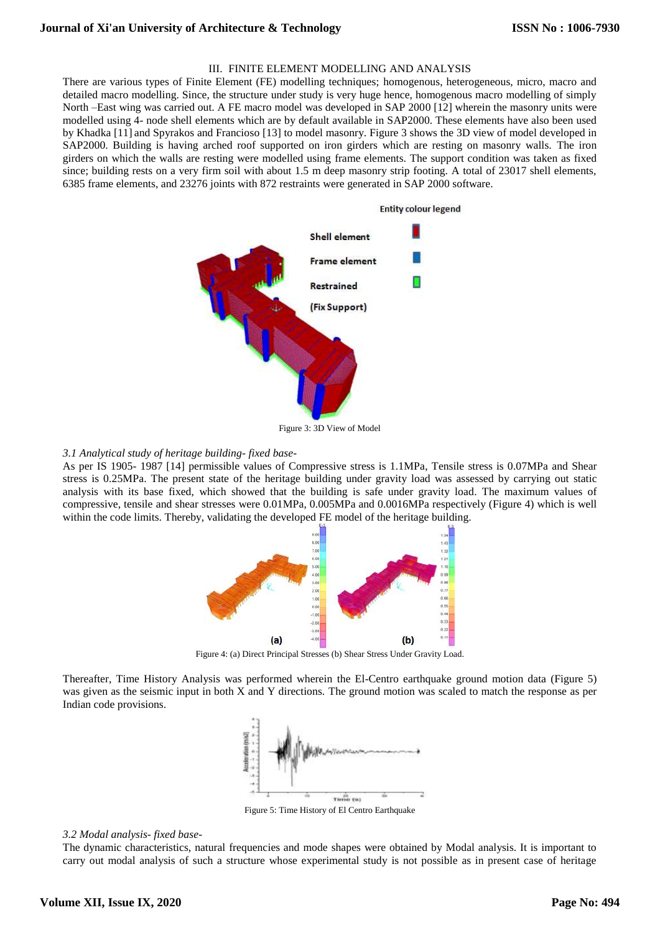# III. FINITE ELEMENT MODELLING AND ANALYSIS

There are various types of Finite Element (FE) modelling techniques; homogenous, heterogeneous, micro, macro and detailed macro modelling. Since, the structure under study is very huge hence, homogenous macro modelling of simply North –East wing was carried out. A FE macro model was developed in SAP 2000 [12] wherein the masonry units were modelled using 4- node shell elements which are by default available in SAP2000. These elements have also been used by Khadka [11] and Spyrakos and Francioso [13] to model masonry. Figure 3 shows the 3D view of model developed in SAP2000. Building is having arched roof supported on iron girders which are resting on masonry walls. The iron girders on which the walls are resting were modelled using frame elements. The support condition was taken as fixed since; building rests on a very firm soil with about 1.5 m deep masonry strip footing. A total of 23017 shell elements, 6385 frame elements, and 23276 joints with 872 restraints were generated in SAP 2000 software.



## *3.1 Analytical study of heritage building- fixed base-*

As per IS 1905- 1987 [14] permissible values of Compressive stress is 1.1MPa, Tensile stress is 0.07MPa and Shear stress is 0.25MPa. The present state of the heritage building under gravity load was assessed by carrying out static analysis with its base fixed, which showed that the building is safe under gravity load. The maximum values of compressive, tensile and shear stresses were 0.01MPa, 0.005MPa and 0.0016MPa respectively (Figure 4) which is well within the code limits. Thereby, validating the developed FE model of the heritage building.



Figure 4: (a) Direct Principal Stresses (b) Shear Stress Under Gravity Load.

Thereafter, Time History Analysis was performed wherein the El-Centro earthquake ground motion data (Figure 5) was given as the seismic input in both X and Y directions. The ground motion was scaled to match the response as per Indian code provisions.



Figure 5: Time History of El Centro Earthquake

#### *3.2 Modal analysis- fixed base-*

The dynamic characteristics, natural frequencies and mode shapes were obtained by Modal analysis. It is important to carry out modal analysis of such a structure whose experimental study is not possible as in present case of heritage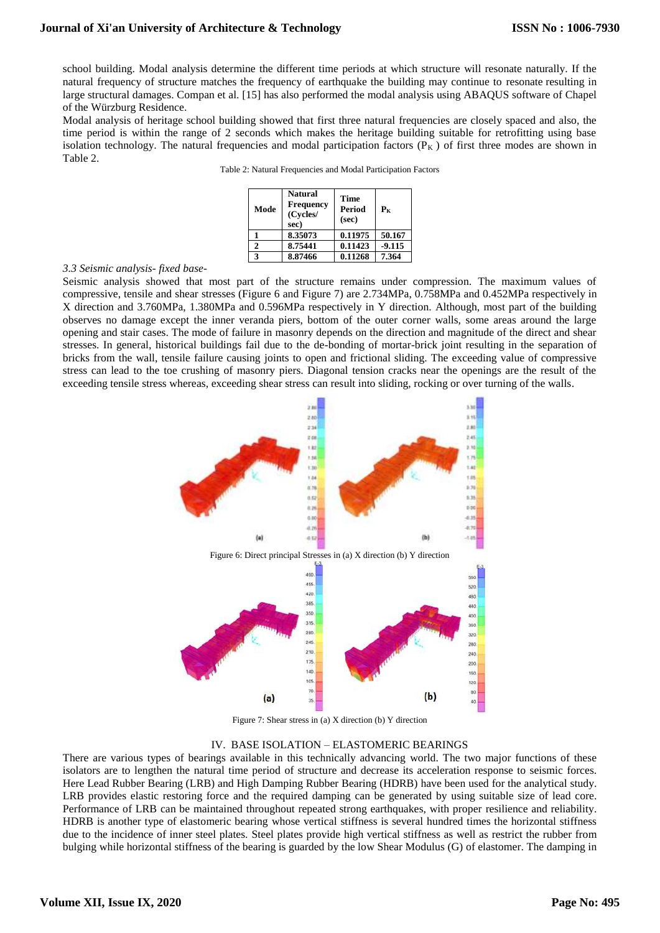school building. Modal analysis determine the different time periods at which structure will resonate naturally. If the natural frequency of structure matches the frequency of earthquake the building may continue to [resonate](https://en.wikipedia.org/wiki/Resonate) resulting in large structural damages. Compan et al. [15] has also performed the modal analysis using ABAQUS software of Chapel of the Würzburg Residence.

Modal analysis of heritage school building showed that first three natural frequencies are closely spaced and also, the time period is within the range of 2 seconds which makes the heritage building suitable for retrofitting using base isolation technology. The natural frequencies and modal participation factors  $(P_K)$  of first three modes are shown in Table 2.

|  |  | Table 2: Natural Frequencies and Modal Participation Factors |  |  |  |
|--|--|--------------------------------------------------------------|--|--|--|
|  |  |                                                              |  |  |  |

| Mode        | Natural<br><b>Frequency</b><br>(Cycles/<br>sec) | Time<br>Period<br>(sec) | $P_{K}$  |
|-------------|-------------------------------------------------|-------------------------|----------|
|             | 8.35073                                         | 0.11975                 | 50.167   |
| $\mathbf 2$ | 8.75441                                         | 0.11423                 | $-9.115$ |
| 3           | 8.87466                                         | 0.11268                 | 7.364    |

## *3.3 Seismic analysis- fixed base-*

Seismic analysis showed that most part of the structure remains under compression. The maximum values of compressive, tensile and shear stresses (Figure 6 and Figure 7) are 2.734MPa, 0.758MPa and 0.452MPa respectively in X direction and 3.760MPa, 1.380MPa and 0.596MPa respectively in Y direction. Although, most part of the building observes no damage except the inner veranda piers, bottom of the outer corner walls, some areas around the large opening and stair cases. The mode of failure in masonry depends on the direction and magnitude of the direct and shear stresses. In general, historical buildings fail due to the de-bonding of mortar-brick joint resulting in the separation of bricks from the wall, tensile failure causing joints to open and frictional sliding. The exceeding value of compressive stress can lead to the toe crushing of masonry piers. Diagonal tension cracks near the openings are the result of the exceeding tensile stress whereas, exceeding shear stress can result into sliding, rocking or over turning of the walls.



Figure 7: Shear stress in (a) X direction (b) Y direction

# IV. BASE ISOLATION – ELASTOMERIC BEARINGS

There are various types of bearings available in this technically advancing world. The two major functions of these isolators are to lengthen the natural time period of structure and decrease its acceleration response to seismic forces. Here Lead Rubber Bearing (LRB) and High Damping Rubber Bearing (HDRB) have been used for the analytical study. LRB provides elastic restoring force and the required damping can be generated by using suitable size of lead core. Performance of LRB can be maintained throughout repeated strong earthquakes, with proper resilience and reliability. HDRB is another type of elastomeric bearing whose vertical stiffness is several hundred times the horizontal stiffness due to the incidence of inner steel plates. Steel plates provide high vertical stiffness as well as restrict the rubber from bulging while horizontal stiffness of the bearing is guarded by the low Shear Modulus (G) of elastomer. The damping in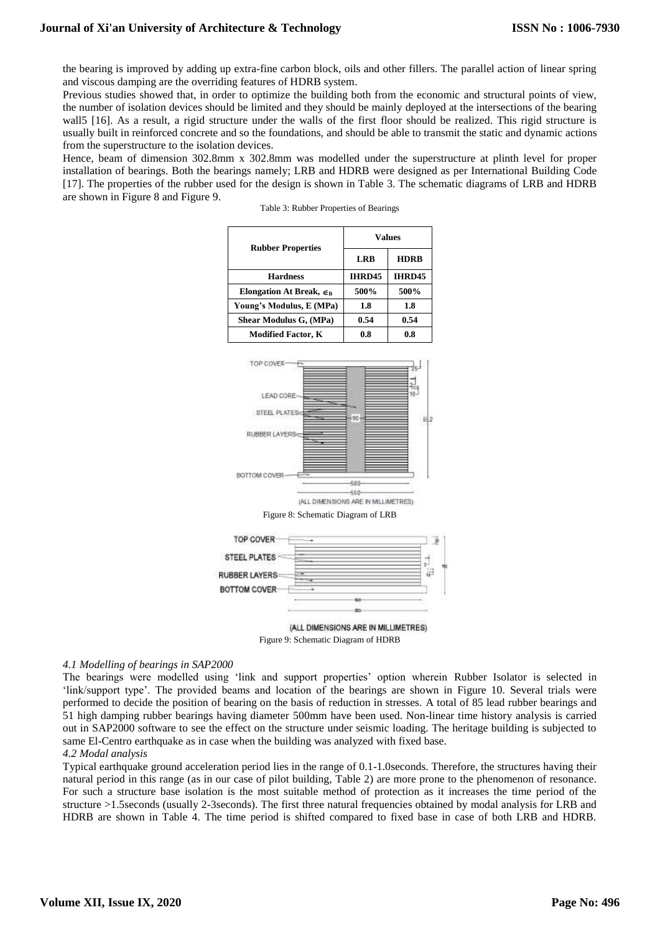the bearing is improved by adding up extra-fine carbon block, oils and other fillers. The parallel action of linear spring and viscous damping are the overriding features of HDRB system.

Previous studies showed that, in order to optimize the building both from the economic and structural points of view, the number of isolation devices should be limited and they should be mainly deployed at the intersections of the bearing wall5 [16]. As a result, a rigid structure under the walls of the first floor should be realized. This rigid structure is usually built in reinforced concrete and so the foundations, and should be able to transmit the static and dynamic actions from the superstructure to the isolation devices.

Hence, beam of dimension 302.8mm x 302.8mm was modelled under the superstructure at plinth level for proper installation of bearings. Both the bearings namely; LRB and HDRB were designed as per International Building Code [17]. The properties of the rubber used for the design is shown in Table 3. The schematic diagrams of LRB and HDRB are shown in Figure 8 and Figure 9.

Table 3: Rubber Properties of Bearings

|                                         | <b>Values</b> |               |  |
|-----------------------------------------|---------------|---------------|--|
| <b>Rubber Properties</b>                | LRB           | <b>HDRB</b>   |  |
| <b>Hardness</b>                         | IHRD45        | <b>IHRD45</b> |  |
| Elongation At Break, $\epsilon_{\rm B}$ | 500%          | 500%          |  |
| Young's Modulus, E (MPa)                | 1.8           | 1.8           |  |
| Shear Modulus G, (MPa)                  | 0.54          | 0.54          |  |
| <b>Modified Factor, K</b>               | 0.8           | 0.8           |  |







Figure 9: Schematic Diagram of HDRB

# *4.1 Modelling of bearings in SAP2000*

The bearings were modelled using 'link and support properties' option wherein Rubber Isolator is selected in 'link/support type'. The provided beams and location of the bearings are shown in Figure 10. Several trials were performed to decide the position of bearing on the basis of reduction in stresses. A total of 85 lead rubber bearings and 51 high damping rubber bearings having diameter 500mm have been used. Non-linear time history analysis is carried out in SAP2000 software to see the effect on the structure under seismic loading. The heritage building is subjected to same El-Centro earthquake as in case when the building was analyzed with fixed base.

## *4.2 Modal analysis*

Typical earthquake ground acceleration period lies in the range of 0.1-1.0seconds. Therefore, the structures having their natural period in this range (as in our case of pilot building, Table 2) are more prone to the phenomenon of resonance. For such a structure base isolation is the most suitable method of protection as it increases the time period of the structure >1.5seconds (usually 2-3seconds). The first three natural frequencies obtained by modal analysis for LRB and HDRB are shown in Table 4. The time period is shifted compared to fixed base in case of both LRB and HDRB.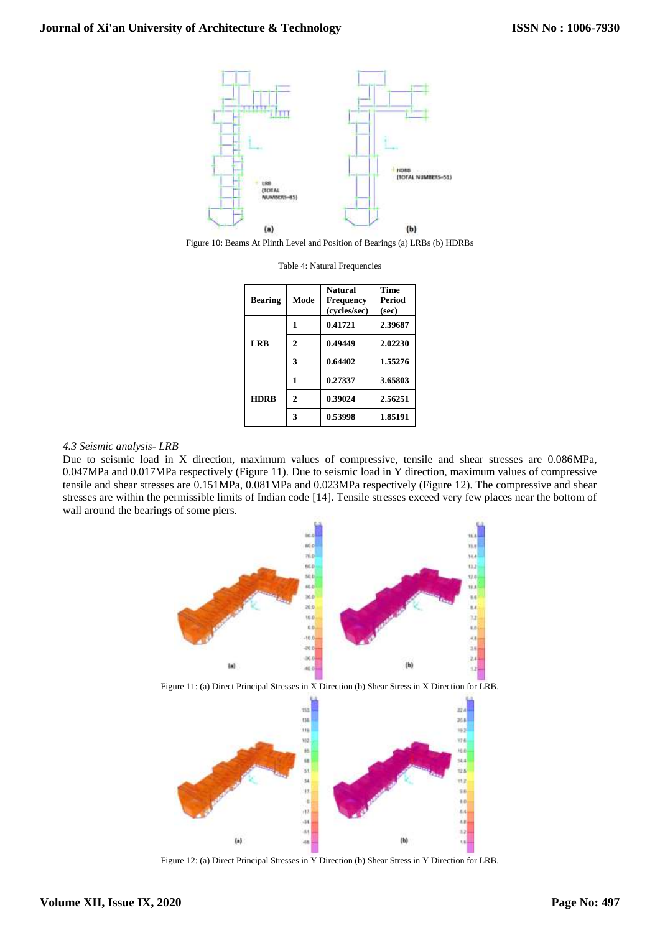

Figure 10: Beams At Plinth Level and Position of Bearings (a) LRBs (b) HDRBs

| <b>Bearing</b> | Mode | <b>Natural</b><br>Frequency<br>(cycles/sec) | <b>Time</b><br>Period<br>(sec) |
|----------------|------|---------------------------------------------|--------------------------------|
| <b>LRB</b>     |      | 0.41721                                     | 2.39687                        |
|                | 2    | 0.49449                                     | 2.02230                        |
|                | 3    | 0.64402                                     | 1.55276                        |
| <b>HDRB</b>    |      | 0.27337                                     | 3.65803                        |
|                | 2    | 0.39024                                     | 2.56251                        |
|                | 3    | 0.53998                                     | 1.85191                        |

Table 4: Natural Frequencies

## *4.3 Seismic analysis- LRB*

Due to seismic load in X direction, maximum values of compressive, tensile and shear stresses are 0.086MPa, 0.047MPa and 0.017MPa respectively (Figure 11). Due to seismic load in Y direction, maximum values of compressive tensile and shear stresses are 0.151MPa, 0.081MPa and 0.023MPa respectively (Figure 12). The compressive and shear stresses are within the permissible limits of Indian code [14]. Tensile stresses exceed very few places near the bottom of wall around the bearings of some piers.



Figure 11: (a) Direct Principal Stresses in X Direction (b) Shear Stress in X Direction for LRB.



Figure 12: (a) Direct Principal Stresses in Y Direction (b) Shear Stress in Y Direction for LRB.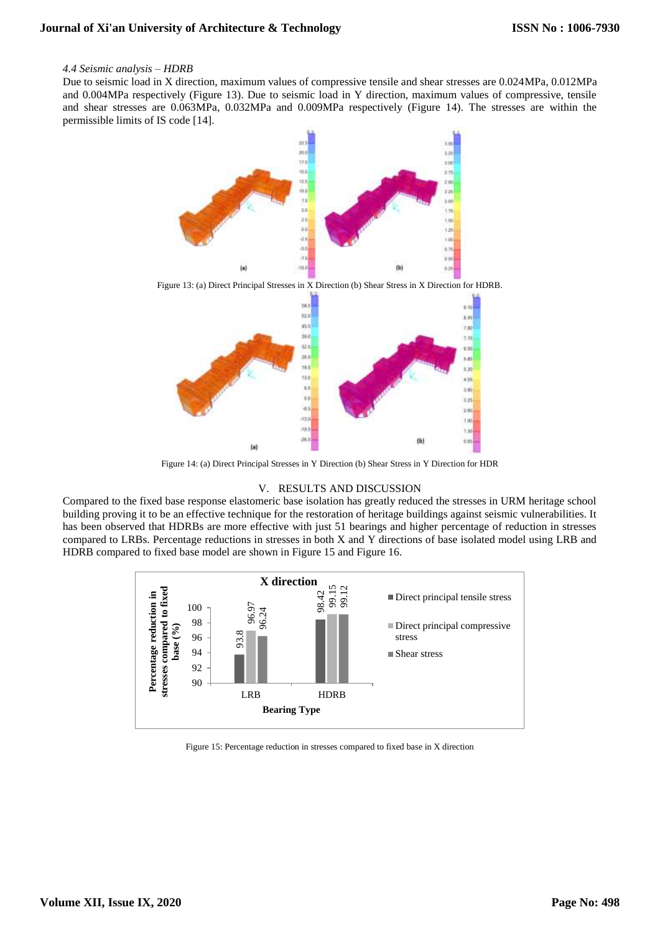## *4.4 Seismic analysis – HDRB*

Due to seismic load in X direction, maximum values of compressive tensile and shear stresses are 0.024MPa, 0.012MPa and 0.004MPa respectively (Figure 13). Due to seismic load in Y direction, maximum values of compressive, tensile and shear stresses are 0.063MPa, 0.032MPa and 0.009MPa respectively (Figure 14). The stresses are within the permissible limits of IS code [14].



Figure 14: (a) Direct Principal Stresses in Y Direction (b) Shear Stress in Y Direction for HDR

# V. RESULTS AND DISCUSSION

Compared to the fixed base response elastomeric base isolation has greatly reduced the stresses in URM heritage school building proving it to be an effective technique for the restoration of heritage buildings against seismic vulnerabilities. It has been observed that HDRBs are more effective with just 51 bearings and higher percentage of reduction in stresses compared to LRBs. Percentage reductions in stresses in both X and Y directions of base isolated model using LRB and HDRB compared to fixed base model are shown in Figure 15 and Figure 16.

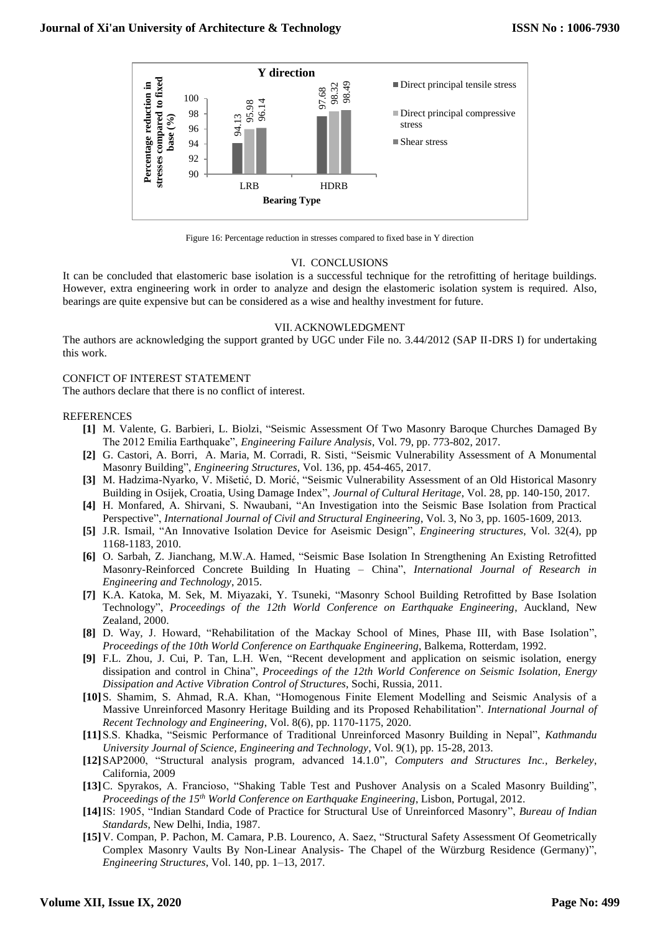

Figure 16: Percentage reduction in stresses compared to fixed base in Y direction

## VI. CONCLUSIONS

It can be concluded that elastomeric base isolation is a successful technique for the retrofitting of heritage buildings. However, extra engineering work in order to analyze and design the elastomeric isolation system is required. Also, bearings are quite expensive but can be considered as a wise and healthy investment for future.

#### VII. ACKNOWLEDGMENT

The authors are acknowledging the support granted by UGC under File no. 3.44/2012 (SAP II-DRS I) for undertaking this work.

## CONFICT OF INTEREST STATEMENT

The authors declare that there is no conflict of interest.

## **REFERENCES**

- **[1]** M. [Valente,](https://www.sciencedirect.com/science/article/pii/S1350630716307609#!) G. [Barbieri,](https://www.sciencedirect.com/science/article/pii/S1350630716307609#!) L. [Biolzi,](https://www.sciencedirect.com/science/article/pii/S1350630716307609#!) "Seismic Assessment Of Two Masonry Baroque Churches Damaged By The 2012 Emilia Earthquake", *[Engineering Failure Analysis](https://www.sciencedirect.com/science/journal/13506307)*[, Vol. 79,](https://www.sciencedirect.com/science/journal/13506307/79/supp/C) pp. 773-802, 2017.
- **[2]** G. [Castori,](https://www.sciencedirect.com/science/article/pii/S0141029617301815#!) A. [Borri, A. Maria,](https://www.sciencedirect.com/science/article/pii/S0141029617301815#!) M. [Corradi,](https://www.sciencedirect.com/science/article/pii/S0141029617301815#!) R. [Sisti,](https://www.sciencedirect.com/science/article/pii/S0141029617301815#!) "Seismic Vulnerability Assessment of A Monumental Masonry Building", *[Engineering Structures](https://www.sciencedirect.com/science/journal/01410296)*, [Vol.](https://www.sciencedirect.com/science/journal/01410296/136/supp/C) 136, pp. 454-465, 2017.
- **[3]** M. [Hadzima-Nyarko,](https://www.sciencedirect.com/science/article/pii/S1296207416302643#!) [V. Mišetić,](https://www.sciencedirect.com/science/article/pii/S1296207416302643#!) D. [Morić,](https://www.sciencedirect.com/science/article/pii/S1296207416302643#!) "Seismic Vulnerability Assessment of an Old Historical Masonry Building in Osijek, Croatia, Using Damage Index", *[Journal of Cultural Heritage](https://www.sciencedirect.com/science/journal/12962074)*, [Vol.](https://www.sciencedirect.com/science/journal/12962074/28/supp/C) 28, pp. 140-150, 2017.
- **[4]** H. Monfared, A. Shirvani, S. Nwaubani, "An Investigation into the Seismic Base Isolation from Practical Perspective", *International Journal of Civil and Structural Engineering*, Vol. 3, No 3, pp. 1605-1609, 2013.
- **[5]** J.R. Ismail, "An Innovative Isolation Device for Aseismic Design", *Engineering structures*, Vol. 32(4), pp 1168-1183, 2010.
- **[6]** O. Sarbah, Z. Jianchang, M.W.A. Hamed, "Seismic Base Isolation In Strengthening An Existing Retrofitted Masonry-Reinforced Concrete Building In Huating – China", *International Journal of Research in Engineering and Technology*, 2015.
- **[7]** K.A. Katoka, M. Sek, M. Miyazaki, Y. Tsuneki, "Masonry School Building Retrofitted by Base Isolation Technology", *Proceedings of the 12th World Conference on Earthquake Engineering*, Auckland, New Zealand, 2000.
- **[8]** D. Way, J. Howard, "Rehabilitation of the Mackay School of Mines, Phase III, with Base Isolation", *Proceedings of the 10th World Conference on Earthquake Engineering*, Balkema, Rotterdam, 1992.
- **[9]** F.L. Zhou, J. Cui, P. Tan, L.H. Wen, "Recent development and application on seismic isolation, energy dissipation and control in China", *Proceedings of the 12th World Conference on Seismic Isolation, Energy Dissipation and Active Vibration Control of Structures*, Sochi, Russia, 2011.
- **[10]**S. Shamim, S. Ahmad, R.A. Khan, "Homogenous Finite Element Modelling and Seismic Analysis of a Massive Unreinforced Masonry Heritage Building and its Proposed Rehabilitation". *International Journal of Recent Technology and Engineering*, Vol. 8(6), pp. 1170-1175, 2020.
- **[11]**S.S. Khadka, "Seismic Performance of Traditional Unreinforced Masonry Building in Nepal", *Kathmandu University Journal of Science, Engineering and Technology*, Vol. 9(1), pp. 15-28, 2013.
- **[12]**SAP2000, "Structural analysis program, advanced 14.1.0", *Computers and Structures Inc., Berkeley*, California, 2009
- **[13]**C. Spyrakos, A. Francioso, "Shaking Table Test and Pushover Analysis on a Scaled Masonry Building", *Proceedings of the 15th World Conference on Earthquake Engineering*, Lisbon, Portugal, 2012.
- **[14]**IS: 1905, "Indian Standard Code of Practice for Structural Use of Unreinforced Masonry", *Bureau of Indian Standards*, New Delhi, India, 1987.
- **[15]**V. Compan, P. Pachon, M. Camara, P.B. Lourenco, A. Saez, "Structural Safety Assessment Of Geometrically Complex Masonry Vaults By Non-Linear Analysis- The Chapel of the Würzburg Residence (Germany)",